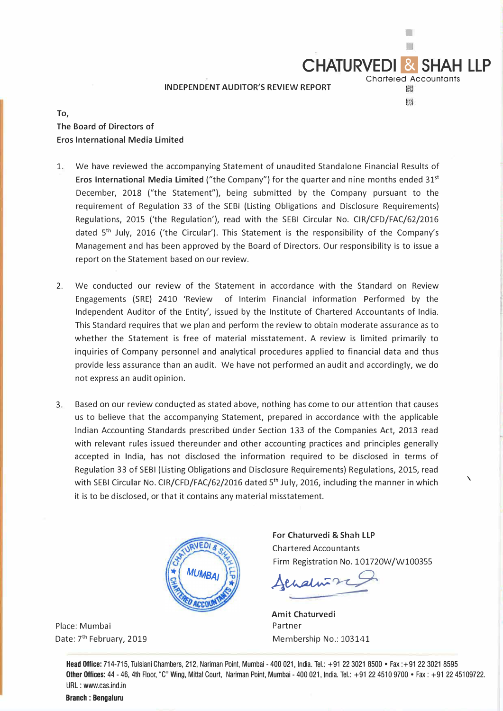## **INDEPENDENT AUDITOR'S REVIEW REPORT**

**To, The Board of Directors of Eros International Media Limited** 

- 1. We have reviewed the accompanying Statement of unaudited Standalone Financial Results of Eros International Media Limited ("the Company") for the quarter and nine months ended 31<sup>st</sup> December, 2018 ("the Statement"), being submitted by the Company pursuant to the requirement of Regulation 33 of the SEBI (Listing Obligations and Disclosure Requirements) Regulations, 2015 ('the Regulation'), read with the SEBI Circular No. CIR/CFD/FAC/62/2016 dated 5<sup>th</sup> July, 2016 ('the Circular'). This Statement is the responsibility of the Company's Management and has been approved by the Board of Directors. Our responsibility is to issue a report on the Statement based on our review.
- 2. We conducted our review of the Statement in accordance with the Standard on Review Engagements (SRE) 2410 'Review of Interim Financial Information Performed by the Independent Auditor of the Entity', issued by the Institute of Chartered Accountants of India. This Standard requires that we plan and perform the review to obtain moderate assurance as to whether the Statement is free of material misstatement. A review is limited primarily to inquiries of Company personnel and analytical procedures applied to financial data and thus provide less assurance than an audit. We have not performed an audit and accordingly, we do not express an audit opinion.
- 3. Based on our review conducted as stated above, nothing has come to our attention that causes us to believe that the accompanying Statement, prepared in accordance with the applicable Indian Accounting Standards prescribed under Section 133 of the Companies Act, 2013 read with relevant rules issued thereunder and other accounting practices and principles generally accepted in India, has not disclosed the information required to be disclosed in terms of Regulation 33 of SEBI (Listing Obligations and Disclosure Requirements) Regulations, 2015, read with SEBI Circular No. CIR/CFD/FAC/62/2016 dated 5<sup>th</sup> July, 2016, including the manner in which it is to be disclosed, or that it contains any material misstatement.



Place: Mumbai Date: 7<sup>th</sup> February, 2019 **For Chaturvedi** & **Shah LLP**  Chartered Accountants Firm Registration No. 101720W/W100355 \

**CHATURVEDI &** 

Chartered Accountants

翻

m

Achalin<sup>72</sup>

**Amit Chaturvedi**  Partner Membership No.: 103141

Head Office: 714-715, Tulsiani Chambers, 212, Nariman Point, Mumbai - 400 021, India. Tel.: +91223021 8500 • Fax :+91223021 8595 Other Offices: 44 - 46, 4th Floor, "C" Wing, Mittal Court, Nariman Point, Mumbai - 400 021, India. Tel.: +91 22 451 0 9700 • Fax: +91 22 45109722. URL : www.cas.ind.in

Branch : Bengaluru